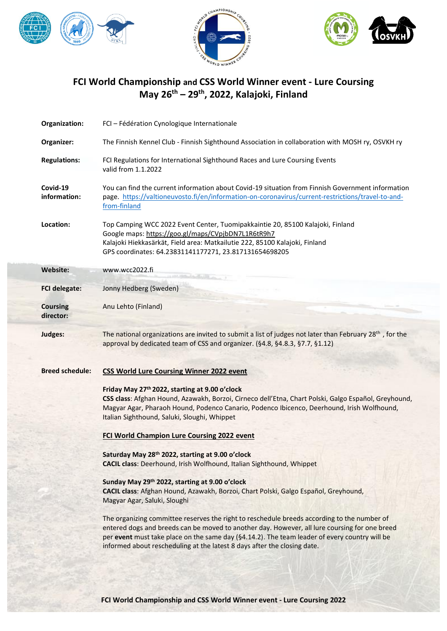





## **FCI World Championship and CSS World Winner event - Lure Coursing May 26 th – 29th, 2022, Kalajoki, Finland**

| Organization:                | FCI - Fédération Cynologique Internationale                                                                                                                                                                                                                                                                                                                               |
|------------------------------|---------------------------------------------------------------------------------------------------------------------------------------------------------------------------------------------------------------------------------------------------------------------------------------------------------------------------------------------------------------------------|
| Organizer:                   | The Finnish Kennel Club - Finnish Sighthound Association in collaboration with MOSH ry, OSVKH ry                                                                                                                                                                                                                                                                          |
| <b>Regulations:</b>          | FCI Regulations for International Sighthound Races and Lure Coursing Events<br>valid from 1.1.2022                                                                                                                                                                                                                                                                        |
| Covid-19<br>information:     | You can find the current information about Covid-19 situation from Finnish Government information<br>page. https://valtioneuvosto.fi/en/information-on-coronavirus/current-restrictions/travel-to-and-<br>from-finland                                                                                                                                                    |
| Location:                    | Top Camping WCC 2022 Event Center, Tuomipakkaintie 20, 85100 Kalajoki, Finland<br>Google maps: https://goo.gl/maps/CVpjbDN7L1R6tR9h7<br>Kalajoki Hiekkasärkät, Field area: Matkailutie 222, 85100 Kalajoki, Finland<br>GPS coordinates: 64.23831141177271, 23.817131654698205                                                                                             |
| Website:                     | www.wcc2022.fi                                                                                                                                                                                                                                                                                                                                                            |
| <b>FCI delegate:</b>         | Jonny Hedberg (Sweden)                                                                                                                                                                                                                                                                                                                                                    |
| <b>Coursing</b><br>director: | Anu Lehto (Finland)                                                                                                                                                                                                                                                                                                                                                       |
| Judges:                      | The national organizations are invited to submit a list of judges not later than February 28th, for the<br>approval by dedicated team of CSS and organizer. (§4.8, §4.8.3, §7.7, §1.12)                                                                                                                                                                                   |
|                              |                                                                                                                                                                                                                                                                                                                                                                           |
| <b>Breed schedule:</b>       | <b>CSS World Lure Coursing Winner 2022 event</b>                                                                                                                                                                                                                                                                                                                          |
|                              | Friday May 27th 2022, starting at 9.00 o'clock<br>CSS class: Afghan Hound, Azawakh, Borzoi, Cirneco dell'Etna, Chart Polski, Galgo Español, Greyhound,<br>Magyar Agar, Pharaoh Hound, Podenco Canario, Podenco Ibicenco, Deerhound, Irish Wolfhound,<br>Italian Sighthound, Saluki, Sloughi, Whippet                                                                      |
|                              | <b>FCI World Champion Lure Coursing 2022 event</b>                                                                                                                                                                                                                                                                                                                        |
|                              | Saturday May 28th 2022, starting at 9.00 o'clock<br>CACIL class: Deerhound, Irish Wolfhound, Italian Sighthound, Whippet                                                                                                                                                                                                                                                  |
|                              | Sunday May 29th 2022, starting at 9.00 o'clock<br>CACIL class: Afghan Hound, Azawakh, Borzoi, Chart Polski, Galgo Español, Greyhound,<br>Magyar Agar, Saluki, Sloughi                                                                                                                                                                                                     |
|                              | The organizing committee reserves the right to reschedule breeds according to the number of<br>entered dogs and breeds can be moved to another day. However, all lure coursing for one breed<br>per event must take place on the same day (§4.14.2). The team leader of every country will be<br>informed about rescheduling at the latest 8 days after the closing date. |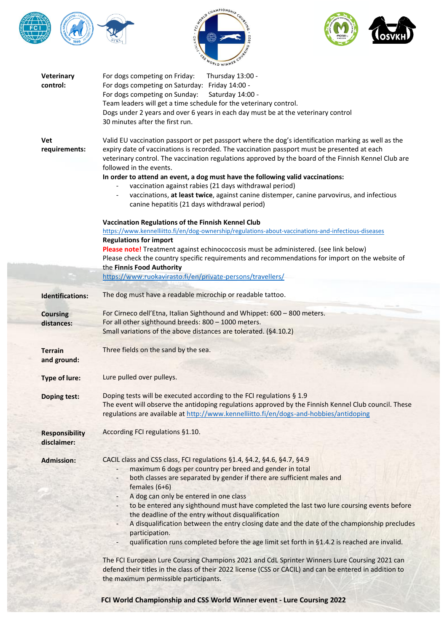





| Veterinary<br>control:               | For dogs competing on Friday:<br>Thursday 13:00 -<br>For dogs competing on Saturday: Friday 14:00 -<br>For dogs competing on Sunday:<br>Saturday 14:00 -<br>Team leaders will get a time schedule for the veterinary control.<br>Dogs under 2 years and over 6 years in each day must be at the veterinary control<br>30 minutes after the first run.                                                                                                                                                                                                                                                                                                                                                                                                                                                                                                                                                                             |
|--------------------------------------|-----------------------------------------------------------------------------------------------------------------------------------------------------------------------------------------------------------------------------------------------------------------------------------------------------------------------------------------------------------------------------------------------------------------------------------------------------------------------------------------------------------------------------------------------------------------------------------------------------------------------------------------------------------------------------------------------------------------------------------------------------------------------------------------------------------------------------------------------------------------------------------------------------------------------------------|
| Vet<br>requirements:                 | Valid EU vaccination passport or pet passport where the dog's identification marking as well as the<br>expiry date of vaccinations is recorded. The vaccination passport must be presented at each<br>veterinary control. The vaccination regulations approved by the board of the Finnish Kennel Club are<br>followed in the events.<br>In order to attend an event, a dog must have the following valid vaccinations:<br>vaccination against rabies (21 days withdrawal period)<br>vaccinations, at least twice, against canine distemper, canine parvovirus, and infectious<br>canine hepatitis (21 days withdrawal period)                                                                                                                                                                                                                                                                                                    |
|                                      | Vaccination Regulations of the Finnish Kennel Club<br>https://www.kennelliitto.fi/en/dog-ownership/regulations-about-vaccinations-and-infectious-diseases<br><b>Regulations for import</b><br>Please note! Treatment against echinococcosis must be administered. (see link below)<br>Please check the country specific requirements and recommendations for import on the website of<br>the Finnis Food Authority<br>https://www.ruokavirasto.fi/en/private-persons/travellers/                                                                                                                                                                                                                                                                                                                                                                                                                                                  |
| <b>Identifications:</b>              | The dog must have a readable microchip or readable tattoo.                                                                                                                                                                                                                                                                                                                                                                                                                                                                                                                                                                                                                                                                                                                                                                                                                                                                        |
| <b>Coursing</b><br>distances:        | For Cirneco dell'Etna, Italian Sighthound and Whippet: 600 - 800 meters.<br>For all other sighthound breeds: 800 - 1000 meters.<br>Small variations of the above distances are tolerated. (§4.10.2)                                                                                                                                                                                                                                                                                                                                                                                                                                                                                                                                                                                                                                                                                                                               |
| <b>Terrain</b><br>and ground:        | Three fields on the sand by the sea.                                                                                                                                                                                                                                                                                                                                                                                                                                                                                                                                                                                                                                                                                                                                                                                                                                                                                              |
| <b>Type of lure:</b>                 | Lure pulled over pulleys.                                                                                                                                                                                                                                                                                                                                                                                                                                                                                                                                                                                                                                                                                                                                                                                                                                                                                                         |
| <b>Doping test:</b>                  | Doping tests will be executed according to the FCI regulations § 1.9<br>The event will observe the antidoping regulations approved by the Finnish Kennel Club council. These<br>regulations are available at http://www.kennelliitto.fi/en/dogs-and-hobbies/antidoping                                                                                                                                                                                                                                                                                                                                                                                                                                                                                                                                                                                                                                                            |
| <b>Responsibility</b><br>disclaimer: | According FCI regulations §1.10.                                                                                                                                                                                                                                                                                                                                                                                                                                                                                                                                                                                                                                                                                                                                                                                                                                                                                                  |
| <b>Admission:</b>                    | CACIL class and CSS class, FCI regulations §1.4, §4.2, §4.6, §4.7, §4.9<br>maximum 6 dogs per country per breed and gender in total<br>both classes are separated by gender if there are sufficient males and<br>females $(6+6)$<br>A dog can only be entered in one class<br>to be entered any sighthound must have completed the last two lure coursing events before<br>the deadline of the entry without disqualification<br>A disqualification between the entry closing date and the date of the championship precludes<br>participation.<br>qualification runs completed before the age limit set forth in §1.4.2 is reached are invalid.<br>$\overline{\phantom{0}}$<br>The FCI European Lure Coursing Champions 2021 and CdL Sprinter Winners Lure Coursing 2021 can<br>defend their titles in the class of their 2022 license (CSS or CACIL) and can be entered in addition to<br>the maximum permissible participants. |

**FCI World Championship and CSS World Winner event - Lure Coursing 2022**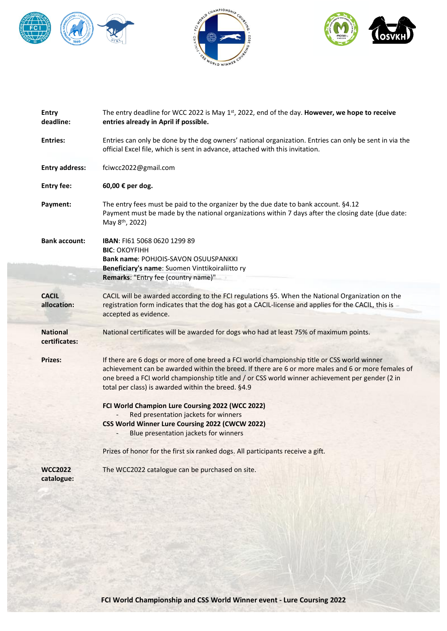





| Entry<br>deadline:               | The entry deadline for WCC 2022 is May 1st, 2022, end of the day. However, we hope to receive<br>entries already in April if possible.                                                                                                                                                                                                                     |
|----------------------------------|------------------------------------------------------------------------------------------------------------------------------------------------------------------------------------------------------------------------------------------------------------------------------------------------------------------------------------------------------------|
| <b>Entries:</b>                  | Entries can only be done by the dog owners' national organization. Entries can only be sent in via the<br>official Excel file, which is sent in advance, attached with this invitation.                                                                                                                                                                    |
| <b>Entry address:</b>            | fciwcc2022@gmail.com                                                                                                                                                                                                                                                                                                                                       |
| <b>Entry fee:</b>                | 60,00 € per dog.                                                                                                                                                                                                                                                                                                                                           |
| Payment:                         | The entry fees must be paid to the organizer by the due date to bank account. §4.12<br>Payment must be made by the national organizations within 7 days after the closing date (due date:<br>May 8 <sup>th</sup> , 2022)                                                                                                                                   |
| <b>Bank account:</b>             | <b>IBAN: F161 5068 0620 1299 89</b><br><b>BIC: OKOYFIHH</b><br><b>Bank name: POHJOIS-SAVON OSUUSPANKKI</b><br>Beneficiary's name: Suomen Vinttikoiraliitto ry<br>Remarks: "Entry fee (country name)"                                                                                                                                                       |
| <b>CACIL</b><br>allocation:      | CACIL will be awarded according to the FCI regulations §5. When the National Organization on the<br>registration form indicates that the dog has got a CACIL-license and applies for the CACIL, this is<br>accepted as evidence.                                                                                                                           |
| <b>National</b><br>certificates: | National certificates will be awarded for dogs who had at least 75% of maximum points.                                                                                                                                                                                                                                                                     |
| <b>Prizes:</b>                   | If there are 6 dogs or more of one breed a FCI world championship title or CSS world winner<br>achievement can be awarded within the breed. If there are 6 or more males and 6 or more females of<br>one breed a FCI world championship title and / or CSS world winner achievement per gender (2 in<br>total per class) is awarded within the breed. §4.9 |
|                                  | FCI World Champion Lure Coursing 2022 (WCC 2022)<br>Red presentation jackets for winners<br>CSS World Winner Lure Coursing 2022 (CWCW 2022)<br>Blue presentation jackets for winners                                                                                                                                                                       |
|                                  | Prizes of honor for the first six ranked dogs. All participants receive a gift.                                                                                                                                                                                                                                                                            |
| <b>WCC2022</b><br>catalogue:     | The WCC2022 catalogue can be purchased on site.                                                                                                                                                                                                                                                                                                            |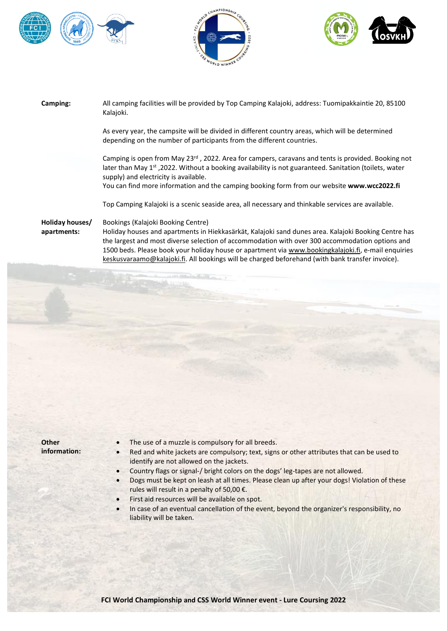





| Camping:                       | All camping facilities will be provided by Top Camping Kalajoki, address: Tuomipakkaintie 20, 85100<br>Kalajoki.                                                                                                                                                                                                                                                                                                                                         |
|--------------------------------|----------------------------------------------------------------------------------------------------------------------------------------------------------------------------------------------------------------------------------------------------------------------------------------------------------------------------------------------------------------------------------------------------------------------------------------------------------|
|                                | As every year, the campsite will be divided in different country areas, which will be determined<br>depending on the number of participants from the different countries.                                                                                                                                                                                                                                                                                |
|                                | Camping is open from May 23 <sup>rd</sup> , 2022. Area for campers, caravans and tents is provided. Booking not<br>later than May 1 <sup>st</sup> , 2022. Without a booking availability is not guaranteed. Sanitation (toilets, water<br>supply) and electricity is available.<br>You can find more information and the camping booking form from our website www.wcc2022.fi                                                                            |
|                                | Top Camping Kalajoki is a scenic seaside area, all necessary and thinkable services are available.                                                                                                                                                                                                                                                                                                                                                       |
| Holiday houses/<br>apartments: | Bookings (Kalajoki Booking Centre)<br>Holiday houses and apartments in Hiekkasärkät, Kalajoki sand dunes area. Kalajoki Booking Centre has<br>the largest and most diverse selection of accommodation with over 300 accommodation options and<br>1500 beds. Please book your holiday house or apartment via www.bookingkalajoki.fi, e-mail enquiries<br>keskusvaraamo@kalajoki.fi. All bookings will be charged beforehand (with bank transfer invoice). |

**Other information:**

- The use of a muzzle is compulsory for all breeds.
- Red and white jackets are compulsory; text, signs or other attributes that can be used to identify are not allowed on the jackets.
- Country flags or signal-/ bright colors on the dogs' leg-tapes are not allowed.
- Dogs must be kept on leash at all times. Please clean up after your dogs! Violation of these rules will result in a penalty of 50,00 €.
- First aid resources will be available on spot.
- In case of an eventual cancellation of the event, beyond the organizer's responsibility, no liability will be taken.